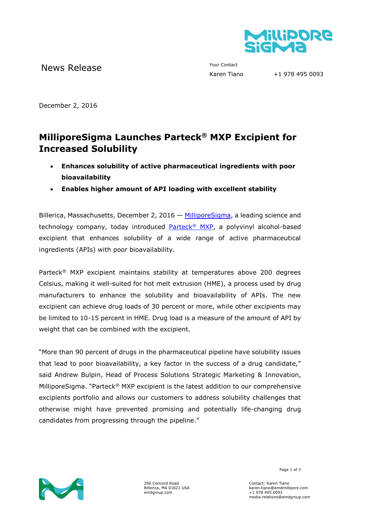

News Release The Contact Your Contact Trans

December 2, 2016

## **MilliporeSigma Launches Parteck® MXP Excipient for Increased Solubility**

- **Enhances solubility of active pharmaceutical ingredients with poor bioavailability**
- **Enables higher amount of API loading with excellent stability**

Billerica, Massachusetts, December 2, 2016 — [MilliporeSigma,](http://www.emdgroup.com/emd/products/life_science/life_science.html) a leading science and technology company, today introduced [Parteck](http://www.emdmillipore.com/parteckmxp)<sup>®</sup> MXP, a polyvinyl alcohol-based excipient that enhances solubility of a wide range of active pharmaceutical ingredients (APIs) with poor bioavailability.

Parteck® MXP excipient maintains stability at temperatures above 200 degrees Celsius, making it well-suited for hot melt extrusion (HME), a process used by drug manufacturers to enhance the solubility and bioavailability of APIs. The new excipient can achieve drug loads of 30 percent or more, while other excipients may be limited to 10-15 percent in HME. Drug load is a measure of the amount of API by weight that can be combined with the excipient.

"More than 90 percent of drugs in the pharmaceutical pipeline have solubility issues that lead to poor bioavailability, a key factor in the success of a drug candidate," said Andrew Bulpin, Head of Process Solutions Strategic Marketing & Innovation, MilliporeSigma. "Parteck® MXP excipient is the latest addition to our comprehensive excipients portfolio and allows our customers to address solubility challenges that otherwise might have prevented promising and potentially life-changing drug candidates from progressing through the pipeline."



290 Concord Road Billerica, MA 01821 USA emdgroup.com

Page 1 of 3

Contact: Karen Tiano karen.tiano@emdmillipore.com +1 978 495 0093 media.relations@emdgroup.com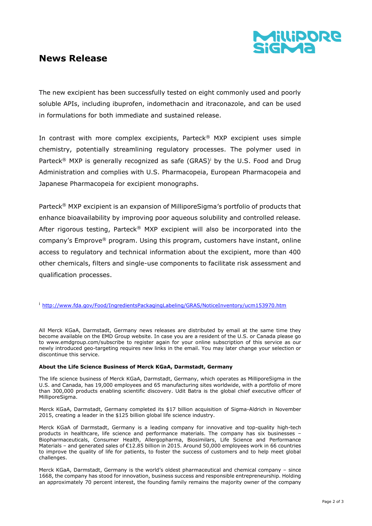

## **News Release**

The new excipient has been successfully tested on eight commonly used and poorly soluble APIs, including ibuprofen, indomethacin and itraconazole, and can be used in formulations for both immediate and sustained release.

In contrast with more complex excipients, Parteck® MXP excipient uses simple chemistry, potentially streamlining regulatory processes. The polymer used in Parteck<sup>®</sup> MXP is generally recognized as safe (GRAS)<sup>i</sup> by the U.S. Food and Drug Administration and complies with U.S. Pharmacopeia, European Pharmacopeia and Japanese Pharmacopeia for excipient monographs.

Parteck® MXP excipient is an expansion of MilliporeSigma's portfolio of products that enhance bioavailability by improving poor aqueous solubility and controlled release. After rigorous testing, Parteck<sup>®</sup> MXP excipient will also be incorporated into the company's Emprove® program. Using this program, customers have instant, online access to regulatory and technical information about the excipient, more than 400 other chemicals, filters and single-use components to facilitate risk assessment and qualification processes.

<sup>i</sup> <http://www.fda.gov/Food/IngredientsPackagingLabeling/GRAS/NoticeInventory/ucm153970.htm>

All Merck KGaA, Darmstadt, Germany news releases are distributed by email at the same time they become available on the EMD Group website. In case you are a resident of the U.S. or Canada please go to www.emdgroup.com/subscribe to register again for your online subscription of this service as our newly introduced geo-targeting requires new links in the email. You may later change your selection or discontinue this service.

## **About the Life Science Business of Merck KGaA, Darmstadt, Germany**

The life science business of Merck KGaA, Darmstadt, Germany, which operates as MilliporeSigma in the U.S. and Canada, has 19,000 employees and 65 manufacturing sites worldwide, with a portfolio of more than 300,000 products enabling scientific discovery. Udit Batra is the global chief executive officer of MilliporeSigma.

Merck KGaA, Darmstadt, Germany completed its \$17 billion acquisition of Sigma-Aldrich in November 2015, creating a leader in the \$125 billion global life science industry.

Merck KGaA of Darmstadt, Germany is a leading company for innovative and top-quality high-tech products in healthcare, life science and performance materials. The company has six businesses – Biopharmaceuticals, Consumer Health, Allergopharma, Biosimilars, Life Science and Performance Materials – and generated sales of €12.85 billion in 2015. Around 50,000 employees work in 66 countries to improve the quality of life for patients, to foster the success of customers and to help meet global challenges.

Merck KGaA, Darmstadt, Germany is the world's oldest pharmaceutical and chemical company – since 1668, the company has stood for innovation, business success and responsible entrepreneurship. Holding an approximately 70 percent interest, the founding family remains the majority owner of the company